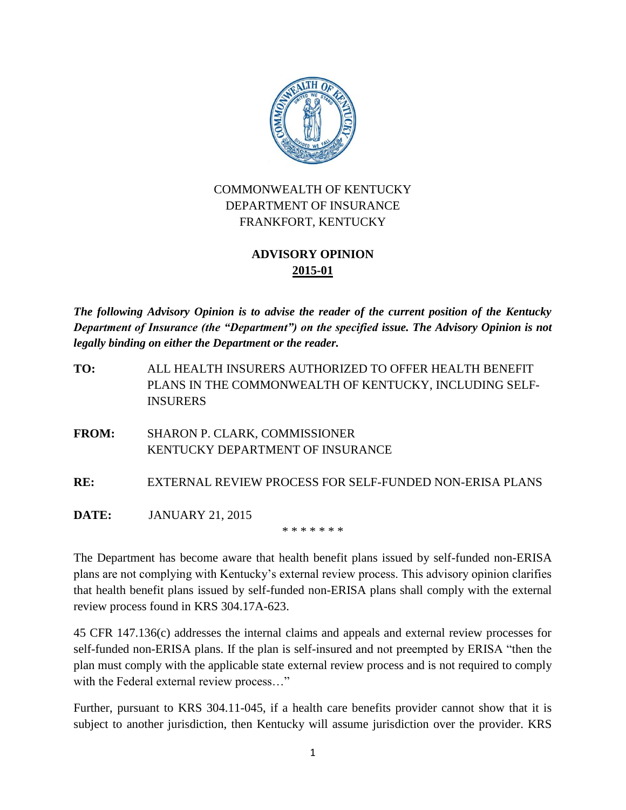

## COMMONWEALTH OF KENTUCKY DEPARTMENT OF INSURANCE FRANKFORT, KENTUCKY

## **ADVISORY OPINION 2015-01**

*The following Advisory Opinion is to advise the reader of the current position of the Kentucky Department of Insurance (the "Department") on the specified issue. The Advisory Opinion is not legally binding on either the Department or the reader.*

**TO:** ALL HEALTH INSURERS AUTHORIZED TO OFFER HEALTH BENEFIT PLANS IN THE COMMONWEALTH OF KENTUCKY, INCLUDING SELF-INSURERS

**FROM:** SHARON P. CLARK, COMMISSIONER KENTUCKY DEPARTMENT OF INSURANCE

**RE:** EXTERNAL REVIEW PROCESS FOR SELF-FUNDED NON-ERISA PLANS

**DATE:** JANUARY 21, 2015

\* \* \* \* \* \* \*

The Department has become aware that health benefit plans issued by self-funded non-ERISA plans are not complying with Kentucky's external review process. This advisory opinion clarifies that health benefit plans issued by self-funded non-ERISA plans shall comply with the external review process found in KRS 304.17A-623.

45 CFR 147.136(c) addresses the internal claims and appeals and external review processes for self-funded non-ERISA plans. If the plan is self-insured and not preempted by ERISA "then the plan must comply with the applicable state external review process and is not required to comply with the Federal external review process..."

Further, pursuant to KRS 304.11-045, if a health care benefits provider cannot show that it is subject to another jurisdiction, then Kentucky will assume jurisdiction over the provider. KRS